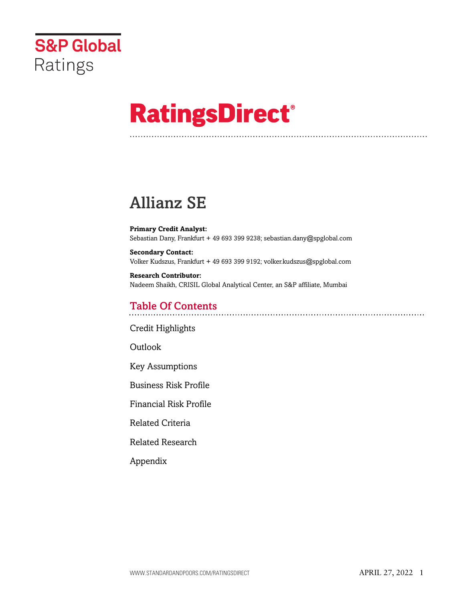

# **RatingsDirect®**

# Allianz SE

**Primary Credit Analyst:** Sebastian Dany, Frankfurt + 49 693 399 9238; sebastian.dany@spglobal.com

**Secondary Contact:** Volker Kudszus, Frankfurt + 49 693 399 9192; volker.kudszus@spglobal.com

**Research Contributor:** Nadeem Shaikh, CRISIL Global Analytical Center, an S&P affiliate, Mumbai

# Table Of Contents

[Credit Highlights](#page-1-0)

Outlook

[Key Assumptions](#page-2-0)

[Business Risk Profile](#page-3-0)

[Financial Risk Profile](#page-5-0)

[Related Criteria](#page-7-0)

[Related Research](#page-8-0)

[Appendix](#page-8-1)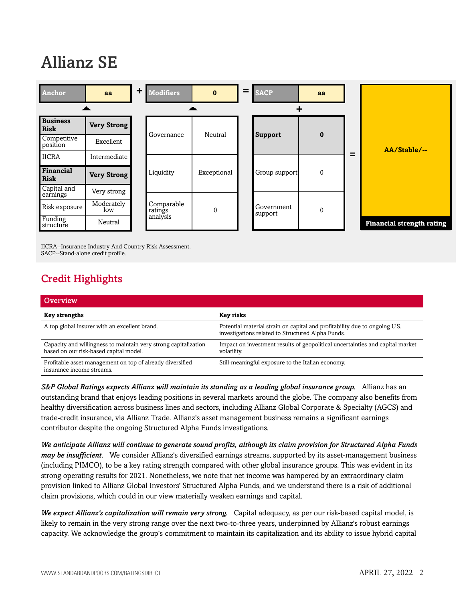# Allianz SE



IICRA--Insurance Industry And Country Risk Assessment. SACP--Stand-alone credit profile.

# <span id="page-1-0"></span>Credit Highlights

| Overview                                                                                                  |                                                                                                                                 |
|-----------------------------------------------------------------------------------------------------------|---------------------------------------------------------------------------------------------------------------------------------|
| <b>Key strengths</b>                                                                                      | Key risks                                                                                                                       |
| A top global insurer with an excellent brand.                                                             | Potential material strain on capital and profitability due to ongoing U.S.<br>investigations related to Structured Alpha Funds. |
| Capacity and willingness to maintain very strong capitalization<br>based on our risk-based capital model. | Impact on investment results of geopolitical uncertainties and capital market<br>volatility.                                    |
| Profitable asset management on top of already diversified<br>insurance income streams.                    | Still-meaningful exposure to the Italian economy.                                                                               |

*S&P Global Ratings expects Allianz will maintain its standing as a leading global insurance group.* Allianz has an outstanding brand that enjoys leading positions in several markets around the globe. The company also benefits from healthy diversification across business lines and sectors, including Allianz Global Corporate & Specialty (AGCS) and trade-credit insurance, via Allianz Trade. Allianz's asset management business remains a significant earnings contributor despite the ongoing Structured Alpha Funds investigations.

*We anticipate Allianz will continue to generate sound profits, although its claim provision for Structured Alpha Funds may be insufficient.* We consider Allianz's diversified earnings streams, supported by its asset-management business (including PIMCO), to be a key rating strength compared with other global insurance groups. This was evident in its strong operating results for 2021. Nonetheless, we note that net income was hampered by an extraordinary claim provision linked to Allianz Global Investors' Structured Alpha Funds, and we understand there is a risk of additional claim provisions, which could in our view materially weaken earnings and capital.

*We expect Allianz's capitalization will remain very strong.* Capital adequacy, as per our risk-based capital model, is likely to remain in the very strong range over the next two-to-three years, underpinned by Allianz's robust earnings capacity. We acknowledge the group's commitment to maintain its capitalization and its ability to issue hybrid capital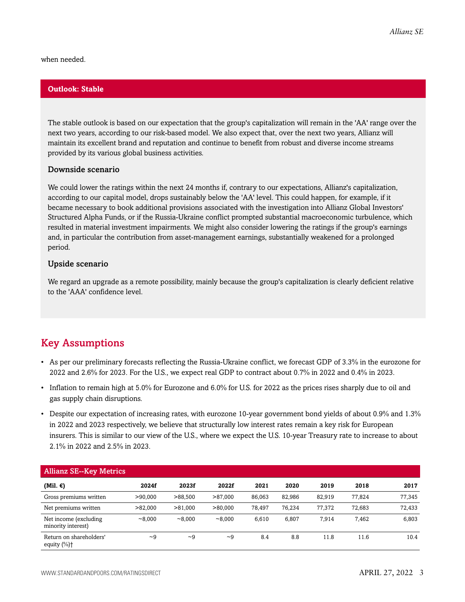when needed.

#### **Outlook: Stable**

The stable outlook is based on our expectation that the group's capitalization will remain in the 'AA' range over the next two years, according to our risk-based model. We also expect that, over the next two years, Allianz will maintain its excellent brand and reputation and continue to benefit from robust and diverse income streams provided by its various global business activities.

#### Downside scenario

We could lower the ratings within the next 24 months if, contrary to our expectations, Allianz's capitalization, according to our capital model, drops sustainably below the 'AA' level. This could happen, for example, if it became necessary to book additional provisions associated with the investigation into Allianz Global Investors' Structured Alpha Funds, or if the Russia-Ukraine conflict prompted substantial macroeconomic turbulence, which resulted in material investment impairments. We might also consider lowering the ratings if the group's earnings and, in particular the contribution from asset-management earnings, substantially weakened for a prolonged period.

#### Upside scenario

We regard an upgrade as a remote possibility, mainly because the group's capitalization is clearly deficient relative to the 'AAA' confidence level.

### <span id="page-2-0"></span>Key Assumptions

- As per our preliminary forecasts reflecting the Russia-Ukraine conflict, we forecast GDP of 3.3% in the eurozone for 2022 and 2.6% for 2023. For the U.S., we expect real GDP to contract about 0.7% in 2022 and 0.4% in 2023.
- Inflation to remain high at 5.0% for Eurozone and 6.0% for U.S. for 2022 as the prices rises sharply due to oil and gas supply chain disruptions.
- Despite our expectation of increasing rates, with eurozone 10-year government bond yields of about 0.9% and 1.3% in 2022 and 2023 respectively, we believe that structurally low interest rates remain a key risk for European insurers. This is similar to our view of the U.S., where we expect the U.S. 10-year Treasury rate to increase to about 2.1% in 2022 and 2.5% in 2023.

| <b>Allianz SE--Key Metrics</b>                   |          |         |          |        |        |        |        |        |
|--------------------------------------------------|----------|---------|----------|--------|--------|--------|--------|--------|
| (Mil. €)                                         | 2024f    | 2023f   | 2022f    | 2021   | 2020   | 2019   | 2018   | 2017   |
| Gross premiums written                           | >90,000  | >88.500 | >87,000  | 86,063 | 82,986 | 82.919 | 77.824 | 77,345 |
| Net premiums written                             | >82,000  | >81,000 | >80,000  | 78.497 | 76.234 | 77.372 | 72.683 | 72.433 |
| Net income (excluding<br>minority interest)      | ~8.000   | ~8.000  | ~8.000   | 6,610  | 6,807  | 7.914  | 7,462  | 6,803  |
| Return on shareholders'<br>equity $(\% )\dagger$ | $\sim$ 9 | ~1      | $\sim 9$ | 8.4    | 8.8    | 11.8   | 11.6   | 10.4   |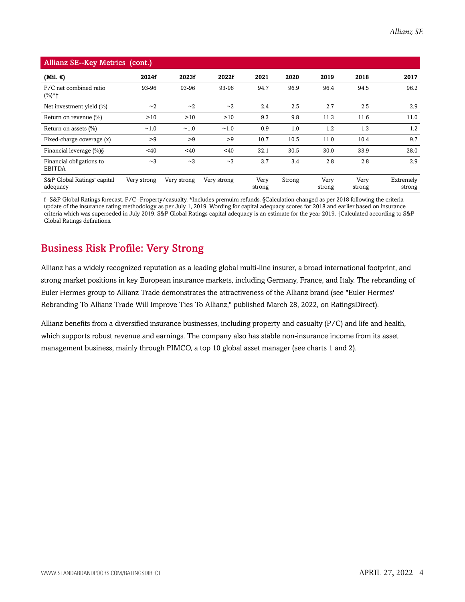| <b>Allianz SE--Key Metrics (cont.)</b>    |             |             |             |                |        |                |                |                     |
|-------------------------------------------|-------------|-------------|-------------|----------------|--------|----------------|----------------|---------------------|
| (Mil. $\epsilon$ )                        | 2024f       | 2023f       | 2022f       | 2021           | 2020   | 2019           | 2018           | 2017                |
| P/C net combined ratio<br>$(\%)^*$ †      | 93-96       | 93-96       | 93-96       | 94.7           | 96.9   | 96.4           | 94.5           | 96.2                |
| Net investment yield $(\%)$               | ~2          | ~2          | ~2          | 2.4            | 2.5    | 2.7            | 2.5            | 2.9                 |
| Return on revenue $(\%)$                  | >10         | >10         | >10         | 9.3            | 9.8    | 11.3           | 11.6           | 11.0                |
| Return on assets (%)                      | ~1.0        | ~1.0        | ~1.0        | 0.9            | 1.0    | 1.2            | 1.3            | 1.2                 |
| Fixed-charge coverage (x)                 | >9          | >9          | >9          | 10.7           | 10.5   | 11.0           | 10.4           | 9.7                 |
| Financial leverage (%)§                   | $<$ 40      | $<$ 40      | $<$ 40      | 32.1           | 30.5   | 30.0           | 33.9           | 28.0                |
| Financial obligations to<br><b>EBITDA</b> | ~2          | ~2          | ~2          | 3.7            | 3.4    | 2.8            | 2.8            | 2.9                 |
| S&P Global Ratings' capital<br>adequacy   | Very strong | Very strong | Very strong | Very<br>strong | Strong | Very<br>strong | Very<br>strong | Extremely<br>strong |

f--S&P Global Ratings forecast. P/C--Property/casualty. \*Includes premuim refunds. §Calculation changed as per 2018 following the criteria update of the insurance rating methodology as per July 1, 2019. Wording for capital adequacy scores for 2018 and earlier based on insurance criteria which was superseded in July 2019. S&P Global Ratings capital adequacy is an estimate for the year 2019. †Calculated according to S&P Global Ratings definitions.

# <span id="page-3-0"></span>Business Risk Profile: Very Strong

Allianz has a widely recognized reputation as a leading global multi-line insurer, a broad international footprint, and strong market positions in key European insurance markets, including Germany, France, and Italy. The rebranding of Euler Hermes group to Allianz Trade demonstrates the attractiveness of the Allianz brand (see "Euler Hermes' Rebranding To Allianz Trade Will Improve Ties To Allianz," published March 28, 2022, on RatingsDirect).

Allianz benefits from a diversified insurance businesses, including property and casualty (P/C) and life and health, which supports robust revenue and earnings. The company also has stable non-insurance income from its asset management business, mainly through PIMCO, a top 10 global asset manager (see charts 1 and 2).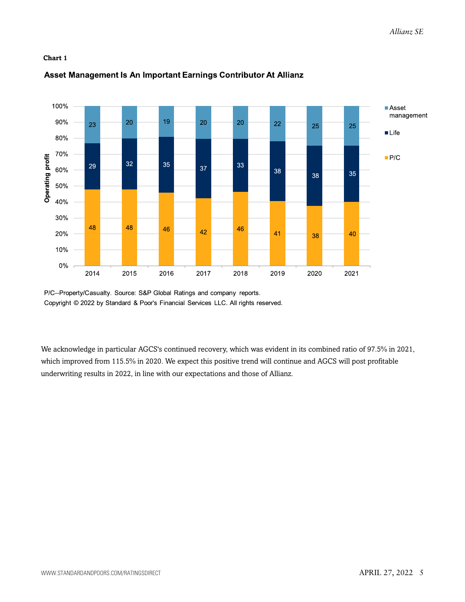#### **Chart 1**



#### Asset Management Is An Important Earnings Contributor At Allianz

P/C--Property/Casualty. Source: S&P Global Ratings and company reports. Copyright © 2022 by Standard & Poor's Financial Services LLC. All rights reserved.

We acknowledge in particular AGCS's continued recovery, which was evident in its combined ratio of 97.5% in 2021, which improved from 115.5% in 2020. We expect this positive trend will continue and AGCS will post profitable underwriting results in 2022, in line with our expectations and those of Allianz.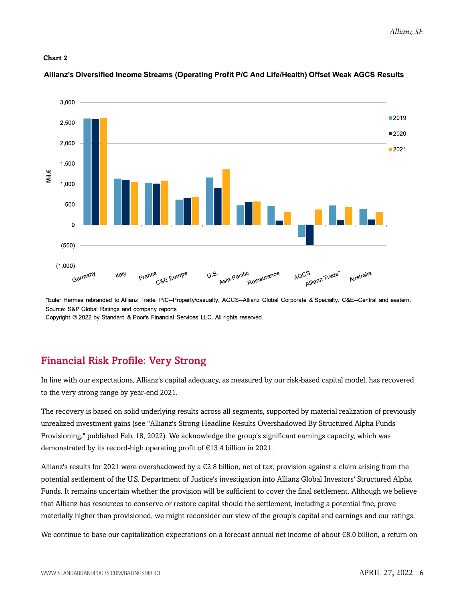#### **Chart 2**



#### Allianz's Diversified Income Streams (Operating Profit P/C And Life/Health) Offset Weak AGCS Results

\*Euler Hermes rebranded to Allianz Trade. P/C--Property/casualty. AGCS--Allianz Global Corporate & Specialty. C&E--Central and eastern. Source: S&P Global Ratings and company reports.

Copyright © 2022 by Standard & Poor's Financial Services LLC. All rights reserved.

# <span id="page-5-0"></span>Financial Risk Profile: Very Strong

In line with our expectations, Allianz's capital adequacy, as measured by our risk-based capital model, has recovered to the very strong range by year-end 2021.

The recovery is based on solid underlying results across all segments, supported by material realization of previously unrealized investment gains (see "Allianz's Strong Headline Results Overshadowed By Structured Alpha Funds Provisioning," published Feb. 18, 2022). We acknowledge the group's significant earnings capacity, which was demonstrated by its record-high operating profit of €13.4 billion in 2021.

Allianz's results for 2021 were overshadowed by  $a \in 2.8$  billion, net of tax, provision against a claim arising from the potential settlement of the U.S. Department of Justice's investigation into Allianz Global Investors' Structured Alpha Funds. It remains uncertain whether the provision will be sufficient to cover the final settlement. Although we believe that Allianz has resources to conserve or restore capital should the settlement, including a potential fine, prove materially higher than provisioned, we might reconsider our view of the group's capital and earnings and our ratings.

We continue to base our capitalization expectations on a forecast annual net income of about €8.0 billion, a return on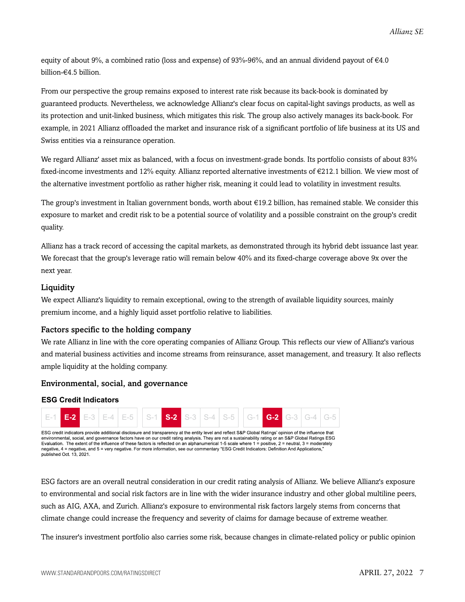equity of about 9%, a combined ratio (loss and expense) of 93%-96%, and an annual dividend payout of €4.0 billion-€4.5 billion.

From our perspective the group remains exposed to interest rate risk because its back-book is dominated by guaranteed products. Nevertheless, we acknowledge Allianz's clear focus on capital-light savings products, as well as its protection and unit-linked business, which mitigates this risk. The group also actively manages its back-book. For example, in 2021 Allianz offloaded the market and insurance risk of a significant portfolio of life business at its US and Swiss entities via a reinsurance operation.

We regard Allianz' asset mix as balanced, with a focus on investment-grade bonds. Its portfolio consists of about 83% fixed-income investments and 12% equity. Allianz reported alternative investments of €212.1 billion. We view most of the alternative investment portfolio as rather higher risk, meaning it could lead to volatility in investment results.

The group's investment in Italian government bonds, worth about €19.2 billion, has remained stable. We consider this exposure to market and credit risk to be a potential source of volatility and a possible constraint on the group's credit quality.

Allianz has a track record of accessing the capital markets, as demonstrated through its hybrid debt issuance last year. We forecast that the group's leverage ratio will remain below 40% and its fixed-charge coverage above 9x over the next year.

#### **Liquidity**

We expect Allianz's liquidity to remain exceptional, owing to the strength of available liquidity sources, mainly premium income, and a highly liquid asset portfolio relative to liabilities.

#### Factors specific to the holding company

We rate Allianz in line with the core operating companies of Allianz Group. This reflects our view of Allianz's various and material business activities and income streams from reinsurance, asset management, and treasury. It also reflects ample liquidity at the holding company.

#### Environmental, social, and governance

#### **ESG Credit Indicators**



ESG factors are an overall neutral consideration in our credit rating analysis of Allianz. We believe Allianz's exposure to environmental and social risk factors are in line with the wider insurance industry and other global multiline peers, such as AIG, AXA, and Zurich. Allianz's exposure to environmental risk factors largely stems from concerns that climate change could increase the frequency and severity of claims for damage because of extreme weather.

The insurer's investment portfolio also carries some risk, because changes in climate-related policy or public opinion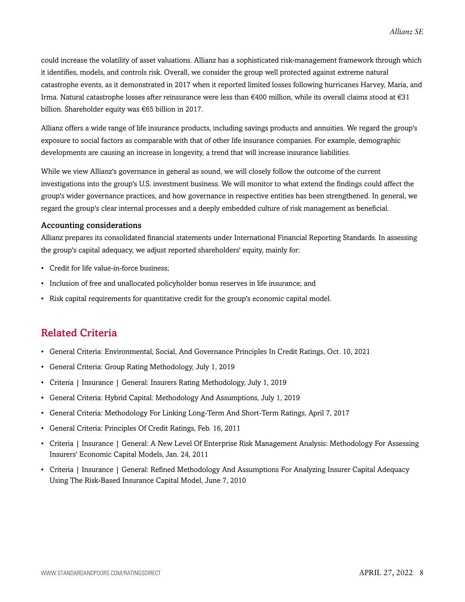could increase the volatility of asset valuations. Allianz has a sophisticated risk-management framework through which it identifies, models, and controls risk. Overall, we consider the group well protected against extreme natural catastrophe events, as it demonstrated in 2017 when it reported limited losses following hurricanes Harvey, Maria, and Irma. Natural catastrophe losses after reinsurance were less than €400 million, while its overall claims stood at €31 billion. Shareholder equity was €65 billion in 2017.

Allianz offers a wide range of life insurance products, including savings products and annuities. We regard the group's exposure to social factors as comparable with that of other life insurance companies. For example, demographic developments are causing an increase in longevity, a trend that will increase insurance liabilities.

While we view Allianz's governance in general as sound, we will closely follow the outcome of the current investigations into the group's U.S. investment business. We will monitor to what extend the findings could affect the group's wider governance practices, and how governance in respective entities has been strengthened. In general, we regard the group's clear internal processes and a deeply embedded culture of risk management as beneficial.

#### Accounting considerations

Allianz prepares its consolidated financial statements under International Financial Reporting Standards. In assessing the group's capital adequacy, we adjust reported shareholders' equity, mainly for:

- Credit for life value-in-force business;
- Inclusion of free and unallocated policyholder bonus reserves in life insurance; and
- Risk capital requirements for quantitative credit for the group's economic capital model.

### <span id="page-7-0"></span>Related Criteria

- General Criteria: Environmental, Social, And Governance Principles In Credit Ratings, Oct. 10, 2021
- General Criteria: Group Rating Methodology, July 1, 2019
- Criteria | Insurance | General: Insurers Rating Methodology, July 1, 2019
- General Criteria: Hybrid Capital: Methodology And Assumptions, July 1, 2019
- General Criteria: Methodology For Linking Long-Term And Short-Term Ratings, April 7, 2017
- General Criteria: Principles Of Credit Ratings, Feb. 16, 2011
- Criteria | Insurance | General: A New Level Of Enterprise Risk Management Analysis: Methodology For Assessing Insurers' Economic Capital Models, Jan. 24, 2011
- Criteria | Insurance | General: Refined Methodology And Assumptions For Analyzing Insurer Capital Adequacy Using The Risk-Based Insurance Capital Model, June 7, 2010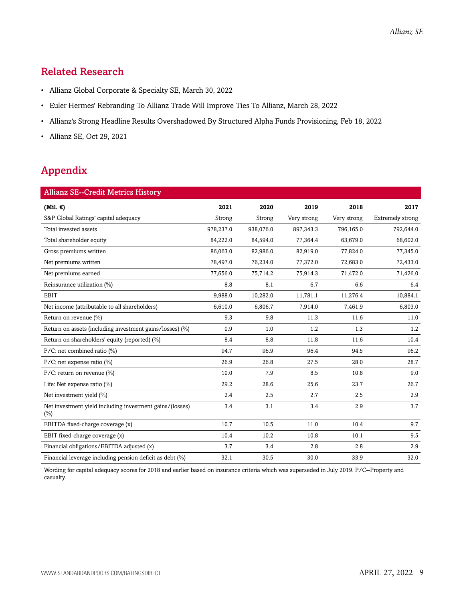# <span id="page-8-0"></span>Related Research

- Allianz Global Corporate & Specialty SE, March 30, 2022
- Euler Hermes' Rebranding To Allianz Trade Will Improve Ties To Allianz, March 28, 2022
- Allianz's Strong Headline Results Overshadowed By Structured Alpha Funds Provisioning, Feb 18, 2022
- Allianz SE, Oct 29, 2021

# <span id="page-8-1"></span>Appendix

| <b>Allianz SE--Credit Metrics History</b>                          |           |           |             |             |                  |
|--------------------------------------------------------------------|-----------|-----------|-------------|-------------|------------------|
| (Mil. $\epsilon$ )                                                 | 2021      | 2020      | 2019        | 2018        | 2017             |
| S&P Global Ratings' capital adequacy                               | Strong    | Strong    | Very strong | Very strong | Extremely strong |
| Total invested assets                                              | 978,237.0 | 938,076.0 | 897,343.3   | 796,165.0   | 792,644.0        |
| Total shareholder equity                                           | 84,222.0  | 84,594.0  | 77,364.4    | 63,679.0    | 68,602.0         |
| Gross premiums written                                             | 86,063.0  | 82,986.0  | 82,919.0    | 77,824.0    | 77,345.0         |
| Net premiums written                                               | 78,497.0  | 76,234.0  | 77,372.0    | 72,683.0    | 72,433.0         |
| Net premiums earned                                                | 77,656.0  | 75,714.2  | 75,914.3    | 71,472.0    | 71,426.0         |
| Reinsurance utilization (%)                                        | 8.8       | 8.1       | 6.7         | 6.6         | 6.4              |
| <b>EBIT</b>                                                        | 9,988.0   | 10,282.0  | 11,781.1    | 11,276.4    | 10,884.1         |
| Net income (attributable to all shareholders)                      | 6,610.0   | 6,806.7   | 7,914.0     | 7,461.9     | 6,803.0          |
| Return on revenue (%)                                              | 9.3       | 9.8       | 11.3        | 11.6        | 11.0             |
| Return on assets (including investment gains/losses) (%)           | 0.9       | 1.0       | 1.2         | 1.3         | 1.2              |
| Return on shareholders' equity (reported) (%)                      | 8.4       | 8.8       | 11.8        | 11.6        | 10.4             |
| P/C: net combined ratio (%)                                        | 94.7      | 96.9      | 96.4        | 94.5        | 96.2             |
| $P/C$ : net expense ratio (%)                                      | 26.9      | 26.8      | 27.5        | 28.0        | 28.7             |
| P/C: return on revenue $\frac{1}{2}$                               | 10.0      | 7.9       | 8.5         | 10.8        | 9.0              |
| Life: Net expense ratio (%)                                        | 29.2      | 28.6      | 25.6        | 23.7        | 26.7             |
| Net investment yield (%)                                           | 2.4       | 2.5       | 2.7         | 2.5         | 2.9              |
| Net investment yield including investment gains/(losses)<br>$(\%)$ | 3.4       | 3.1       | 3.4         | 2.9         | 3.7              |
| EBITDA fixed-charge coverage (x)                                   | 10.7      | 10.5      | 11.0        | 10.4        | 9.7              |
| EBIT fixed-charge coverage (x)                                     | 10.4      | 10.2      | 10.8        | 10.1        | 9.5              |
| Financial obligations/EBITDA adjusted (x)                          | 3.7       | 3.4       | 2.8         | 2.8         | 2.9              |
| Financial leverage including pension deficit as debt (%)           | 32.1      | 30.5      | 30.0        | 33.9        | 32.0             |

Wording for capital adequacy scores for 2018 and earlier based on insurance criteria which was superseded in July 2019. P/C--Property and casualty.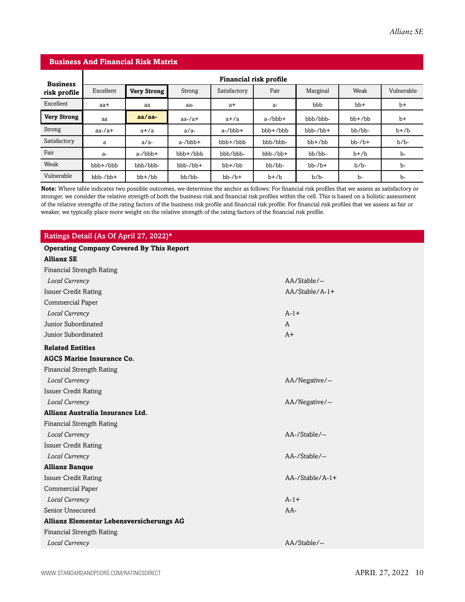#### **Business And Financial Risk Matrix**

| <b>Business</b>    | <b>Financial risk profile</b> |                    |               |              |                |              |              |            |
|--------------------|-------------------------------|--------------------|---------------|--------------|----------------|--------------|--------------|------------|
| risk profile       | Excellent                     | <b>Very Strong</b> | Strong        | Satisfactory | Fair           | Marginal     | Weak         | Vulnerable |
| Excellent          | aa+                           | aa                 | aa-           | $a+$         | a-             | bbb          | $bb+$        | $b+$       |
| <b>Very Strong</b> | aa                            | $aa/aa-$           | $aa$ -/ $a$ + | $a+/a$       | $a$ -/ $bbb$ + | bbb/bbb-     | $bb+$ / $bb$ | $b+$       |
| Strong             | $aa$ -/ $a$ +                 | $a+/a$             | $a/a-$        | $a$ -/ $bbb$ | $bbb + /bbb$   | $bbb-/bb+$   | bb/bb-       | $b+b$      |
| Satisfactory       | a                             | $a/a-$             | $a$ -/ $bbb$  | $bbb+b$      | bbb/bbb-       | $bb+$ / $bb$ | $bb-$ / $b+$ | $b/b$ -    |
| Fair               | a-                            | $a$ -/ $bbb$       | bbb+/bbb      | bbb/bbb-     | $bbb-/bb+$     | bb/bb-       | $b+b$        | b-         |
| Weak               | $bbb+b$                       | bbb/bbb-           | $bbb-/bb+$    | $bb+/bb$     | bb/bb-         | $bb-$ / $b+$ | $b/b$ -      | b-         |
| Vulnerable         | $bbb-/bb+$                    | $bb+$ / $bb$       | bb/bb-        | $bb-7b+$     | $b+b$          | $b/b$ -      | b-           | b-         |

**Note:** Where table indicates two possible outcomes, we determine the anchor as follows: For financial risk profiles that we assess as satisfactory or stronger, we consider the relative strength of both the business risk and financial risk profiles within the cell. This is based on a holistic assessment of the relative strengths of the rating factors of the business risk profile and financial risk profile. For financial risk profiles that we assess as fair or weaker, we typically place more weight on the relative strength of the rating factors of the financial risk profile.

#### Ratings Detail (As Of April 27, 2022)\*

| <b>Operating Company Covered By This Report</b> |                        |  |  |  |
|-------------------------------------------------|------------------------|--|--|--|
| <b>Allianz SE</b>                               |                        |  |  |  |
| <b>Financial Strength Rating</b>                |                        |  |  |  |
| Local Currency                                  | AA/Stable/--           |  |  |  |
| <b>Issuer Credit Rating</b>                     | $AA/Stable/A-1+$       |  |  |  |
| Commercial Paper                                |                        |  |  |  |
| Local Currency                                  | $A-1+$                 |  |  |  |
| Junior Subordinated                             | $\mathbf{A}$           |  |  |  |
| Junior Subordinated                             | $A+$                   |  |  |  |
| <b>Related Entities</b>                         |                        |  |  |  |
| <b>AGCS Marine Insurance Co.</b>                |                        |  |  |  |
| <b>Financial Strength Rating</b>                |                        |  |  |  |
| Local Currency                                  | AA/Negative/--         |  |  |  |
| <b>Issuer Credit Rating</b>                     |                        |  |  |  |
| Local Currency                                  | AA/Negative/--         |  |  |  |
| Allianz Australia Insurance Ltd.                |                        |  |  |  |
| <b>Financial Strength Rating</b>                |                        |  |  |  |
| Local Currency                                  | AA-/Stable/--          |  |  |  |
| <b>Issuer Credit Rating</b>                     |                        |  |  |  |
| Local Currency                                  | AA-/Stable/--          |  |  |  |
| <b>Allianz Banque</b>                           |                        |  |  |  |
| <b>Issuer Credit Rating</b>                     | $AA$ -/Stable/ $A$ -1+ |  |  |  |
| Commercial Paper                                |                        |  |  |  |
| Local Currency                                  | $A-1+$                 |  |  |  |
| Senior Unsecured                                | $AA-$                  |  |  |  |
| Allianz Elementar Lebensversicherungs AG        |                        |  |  |  |
| <b>Financial Strength Rating</b>                |                        |  |  |  |
| Local Currency                                  | AA/Stable/--           |  |  |  |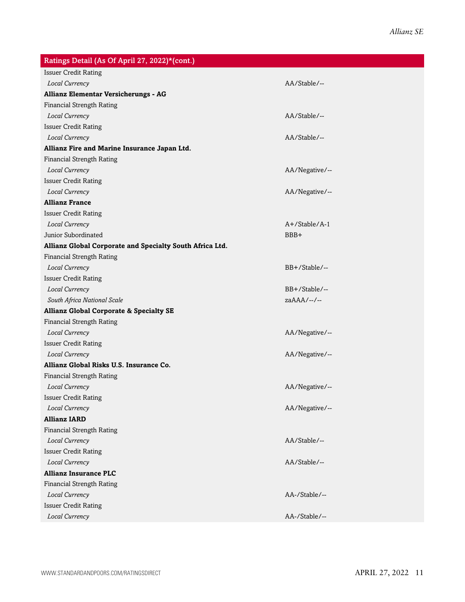| Ratings Detail (As Of April 27, 2022)*(cont.)            |                |
|----------------------------------------------------------|----------------|
| <b>Issuer Credit Rating</b>                              |                |
| Local Currency                                           | AA/Stable/--   |
| Allianz Elementar Versicherungs - AG                     |                |
| <b>Financial Strength Rating</b>                         |                |
| Local Currency                                           | AA/Stable/--   |
| <b>Issuer Credit Rating</b>                              |                |
| Local Currency                                           | AA/Stable/--   |
| Allianz Fire and Marine Insurance Japan Ltd.             |                |
| <b>Financial Strength Rating</b>                         |                |
| Local Currency                                           | AA/Negative/-- |
| <b>Issuer Credit Rating</b>                              |                |
| Local Currency                                           | AA/Negative/-- |
| <b>Allianz France</b>                                    |                |
| <b>Issuer Credit Rating</b>                              |                |
| Local Currency                                           | A+/Stable/A-1  |
| Junior Subordinated                                      | BBB+           |
| Allianz Global Corporate and Specialty South Africa Ltd. |                |
| <b>Financial Strength Rating</b>                         |                |
| Local Currency                                           | BB+/Stable/--  |
| <b>Issuer Credit Rating</b>                              |                |
| Local Currency                                           | BB+/Stable/--  |
| South Africa National Scale                              | $zaAAA/--/--$  |
| <b>Allianz Global Corporate &amp; Specialty SE</b>       |                |
| <b>Financial Strength Rating</b>                         |                |
| Local Currency                                           | AA/Negative/-- |
| <b>Issuer Credit Rating</b>                              |                |
| Local Currency                                           | AA/Negative/-- |
| Allianz Global Risks U.S. Insurance Co.                  |                |
| <b>Financial Strength Rating</b>                         |                |
| Local Currency                                           | AA/Negative/-- |
| <b>Issuer Credit Rating</b>                              |                |
| Local Currency                                           | AA/Negative/-- |
| <b>Allianz IARD</b>                                      |                |
| <b>Financial Strength Rating</b>                         |                |
| Local Currency                                           | AA/Stable/--   |
| <b>Issuer Credit Rating</b>                              |                |
| Local Currency                                           | AA/Stable/--   |
| <b>Allianz Insurance PLC</b>                             |                |
| <b>Financial Strength Rating</b>                         |                |
| Local Currency                                           | AA-/Stable/--  |
| <b>Issuer Credit Rating</b>                              |                |
| Local Currency                                           | AA-/Stable/--  |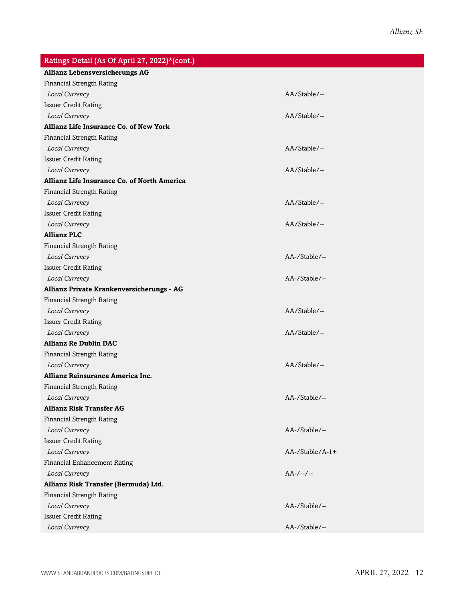| Ratings Detail (As Of April 27, 2022)*(cont.) |                        |
|-----------------------------------------------|------------------------|
| <b>Allianz Lebensversicherungs AG</b>         |                        |
| <b>Financial Strength Rating</b>              |                        |
| Local Currency                                | AA/Stable/--           |
| <b>Issuer Credit Rating</b>                   |                        |
| Local Currency                                | AA/Stable/--           |
| Allianz Life Insurance Co. of New York        |                        |
| <b>Financial Strength Rating</b>              |                        |
| Local Currency                                | AA/Stable/--           |
| <b>Issuer Credit Rating</b>                   |                        |
| Local Currency                                | AA/Stable/--           |
| Allianz Life Insurance Co. of North America   |                        |
| <b>Financial Strength Rating</b>              |                        |
| Local Currency                                | AA/Stable/--           |
| <b>Issuer Credit Rating</b>                   |                        |
| Local Currency                                | AA/Stable/--           |
| <b>Allianz PLC</b>                            |                        |
| <b>Financial Strength Rating</b>              |                        |
| Local Currency                                | AA-/Stable/--          |
| <b>Issuer Credit Rating</b>                   |                        |
| Local Currency                                | AA-/Stable/--          |
| Allianz Private Krankenversicherungs - AG     |                        |
| <b>Financial Strength Rating</b>              |                        |
| Local Currency                                | AA/Stable/--           |
| <b>Issuer Credit Rating</b>                   |                        |
| Local Currency                                | AA/Stable/--           |
| <b>Allianz Re Dublin DAC</b>                  |                        |
| <b>Financial Strength Rating</b>              |                        |
| Local Currency                                | AA/Stable/--           |
| Allianz Reinsurance America Inc.              |                        |
| <b>Financial Strength Rating</b>              |                        |
| Local Currency                                | AA-/Stable/--          |
| <b>Allianz Risk Transfer AG</b>               |                        |
| <b>Financial Strength Rating</b>              |                        |
| Local Currency                                | AA-/Stable/--          |
| <b>Issuer Credit Rating</b>                   |                        |
| Local Currency                                | $AA$ -/Stable/ $A$ -1+ |
| Financial Enhancement Rating                  |                        |
| Local Currency                                | $AA-/-/-$              |
| Allianz Risk Transfer (Bermuda) Ltd.          |                        |
| <b>Financial Strength Rating</b>              |                        |
| Local Currency                                | AA-/Stable/--          |
| <b>Issuer Credit Rating</b>                   |                        |
| Local Currency                                | AA-/Stable/--          |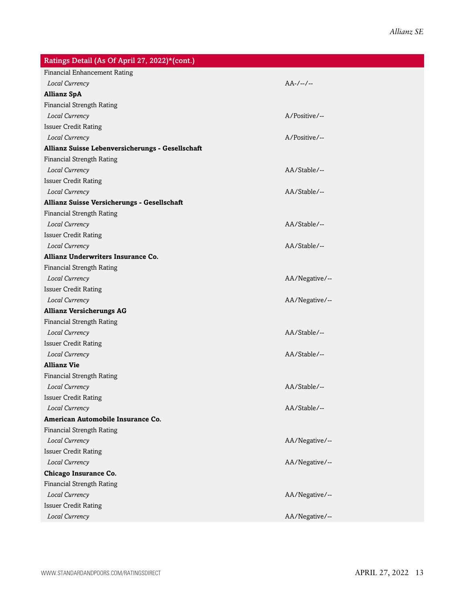| Ratings Detail (As Of April 27, 2022)*(cont.)    |                |
|--------------------------------------------------|----------------|
| Financial Enhancement Rating                     |                |
| Local Currency                                   | $AA-/-/-$      |
| <b>Allianz SpA</b>                               |                |
| <b>Financial Strength Rating</b>                 |                |
| Local Currency                                   | A/Positive/--  |
| <b>Issuer Credit Rating</b>                      |                |
| Local Currency                                   | A/Positive/--  |
| Allianz Suisse Lebenversicherungs - Gesellschaft |                |
| <b>Financial Strength Rating</b>                 |                |
| Local Currency                                   | AA/Stable/--   |
| <b>Issuer Credit Rating</b>                      |                |
| Local Currency                                   | AA/Stable/--   |
| Allianz Suisse Versicherungs - Gesellschaft      |                |
| <b>Financial Strength Rating</b>                 |                |
| Local Currency                                   | AA/Stable/--   |
| <b>Issuer Credit Rating</b>                      |                |
| Local Currency                                   | AA/Stable/--   |
| Allianz Underwriters Insurance Co.               |                |
| <b>Financial Strength Rating</b>                 |                |
| Local Currency                                   | AA/Negative/-- |
| <b>Issuer Credit Rating</b>                      |                |
| Local Currency                                   | AA/Negative/-- |
| <b>Allianz Versicherungs AG</b>                  |                |
| <b>Financial Strength Rating</b>                 |                |
| Local Currency                                   | AA/Stable/--   |
| <b>Issuer Credit Rating</b>                      |                |
| Local Currency                                   | AA/Stable/--   |
| <b>Allianz Vie</b>                               |                |
| <b>Financial Strength Rating</b>                 |                |
| Local Currency                                   | AA/Stable/--   |
| <b>Issuer Credit Rating</b>                      |                |
| Local Currency                                   | AA/Stable/--   |
| American Automobile Insurance Co.                |                |
| <b>Financial Strength Rating</b>                 |                |
| Local Currency                                   | AA/Negative/-- |
| <b>Issuer Credit Rating</b>                      |                |
| Local Currency                                   | AA/Negative/-- |
| Chicago Insurance Co.                            |                |
| <b>Financial Strength Rating</b>                 |                |
| Local Currency                                   | AA/Negative/-- |
| <b>Issuer Credit Rating</b>                      |                |
| Local Currency                                   | AA/Negative/-- |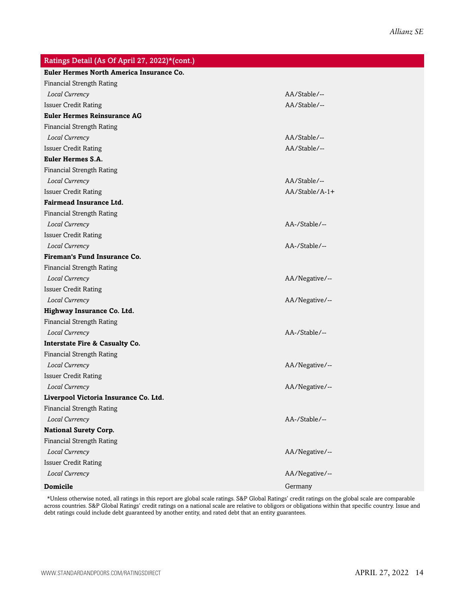| Ratings Detail (As Of April 27, 2022)*(cont.) |                |
|-----------------------------------------------|----------------|
| Euler Hermes North America Insurance Co.      |                |
| <b>Financial Strength Rating</b>              |                |
| Local Currency                                | AA/Stable/--   |
| <b>Issuer Credit Rating</b>                   | AA/Stable/--   |
| <b>Euler Hermes Reinsurance AG</b>            |                |
| <b>Financial Strength Rating</b>              |                |
| Local Currency                                | AA/Stable/--   |
| <b>Issuer Credit Rating</b>                   | AA/Stable/--   |
| <b>Euler Hermes S.A.</b>                      |                |
| <b>Financial Strength Rating</b>              |                |
| Local Currency                                | AA/Stable/--   |
| <b>Issuer Credit Rating</b>                   | AA/Stable/A-1+ |
| <b>Fairmead Insurance Ltd.</b>                |                |
| <b>Financial Strength Rating</b>              |                |
| Local Currency                                | AA-/Stable/--  |
| <b>Issuer Credit Rating</b>                   |                |
| Local Currency                                | AA-/Stable/--  |
| <b>Fireman's Fund Insurance Co.</b>           |                |
| <b>Financial Strength Rating</b>              |                |
| Local Currency                                | AA/Negative/-- |
| <b>Issuer Credit Rating</b>                   |                |
| Local Currency                                | AA/Negative/-- |
| Highway Insurance Co. Ltd.                    |                |
| <b>Financial Strength Rating</b>              |                |
| Local Currency                                | AA-/Stable/--  |
| <b>Interstate Fire &amp; Casualty Co.</b>     |                |
| <b>Financial Strength Rating</b>              |                |
| Local Currency                                | AA/Negative/-- |
| <b>Issuer Credit Rating</b>                   |                |
| Local Currency                                | AA/Negative/-- |
| Liverpool Victoria Insurance Co. Ltd.         |                |
| Financial Strength Rating                     |                |
| Local Currency                                | AA-/Stable/--  |
| <b>National Surety Corp.</b>                  |                |
| <b>Financial Strength Rating</b>              |                |
| Local Currency                                | AA/Negative/-- |
| <b>Issuer Credit Rating</b>                   |                |
| Local Currency                                | AA/Negative/-- |
| <b>Domicile</b>                               | Germany        |

\*Unless otherwise noted, all ratings in this report are global scale ratings. S&P Global Ratings' credit ratings on the global scale are comparable across countries. S&P Global Ratings' credit ratings on a national scale are relative to obligors or obligations within that specific country. Issue and debt ratings could include debt guaranteed by another entity, and rated debt that an entity guarantees.